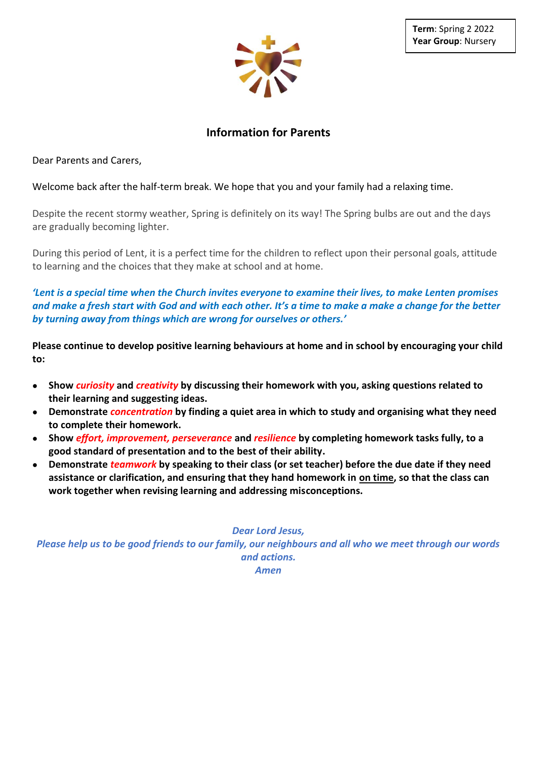

# **Information for Parents**

Dear Parents and Carers,

Welcome back after the half-term break. We hope that you and your family had a relaxing time.

Despite the recent stormy weather, Spring is definitely on its way! The Spring bulbs are out and the days are gradually becoming lighter.

During this period of Lent, it is a perfect time for the children to reflect upon their personal goals, attitude to learning and the choices that they make at school and at home.

*'Lent is a special time when the Church invites everyone to examine their lives, to make Lenten promises and make a fresh start with God and with each other. It's a time to make a make a change for the better by turning away from things which are wrong for ourselves or others.'*

**Please continue to develop positive learning behaviours at home and in school by encouraging your child to:**

- **Show** *curiosity* **and** *creativity* **by discussing their homework with you, asking questions related to their learning and suggesting ideas.**
- **Demonstrate** *concentration* **by finding a quiet area in which to study and organising what they need to complete their homework.**
- **Show** *effort, improvement, perseverance* **and** *resilience* **by completing homework tasks fully, to a good standard of presentation and to the best of their ability.**
- **Demonstrate** *teamwork* **by speaking to their class (or set teacher) before the due date if they need assistance or clarification, and ensuring that they hand homework in on time, so that the class can work together when revising learning and addressing misconceptions.**

*Dear Lord Jesus,*

*Please help us to be good friends to our family, our neighbours and all who we meet through our words and actions. Amen*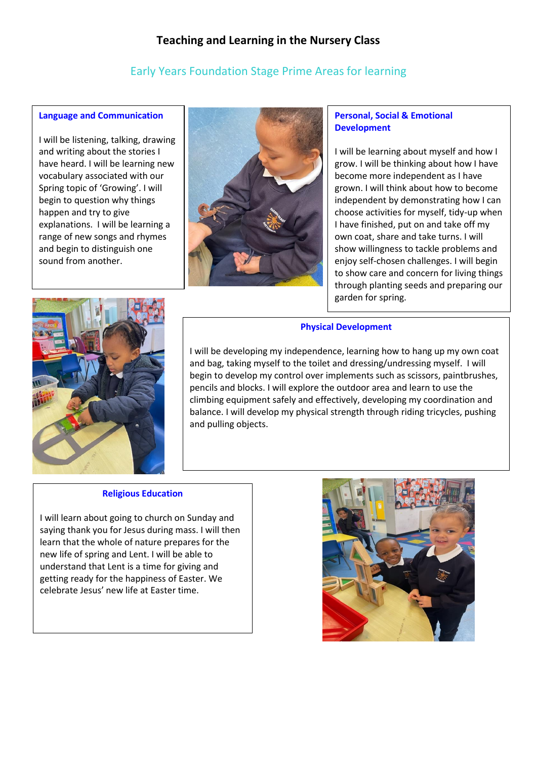# **Teaching and Learning in the Nursery Class**

# Early Years Foundation Stage Prime Areas for learning

## **Language and Communication**

I will be listening, talking, drawing and writing about the stories I have heard. I will be learning new vocabulary associated with our Spring topic of 'Growing'. I will begin to question why things happen and try to give explanations. I will be learning a range of new songs and rhymes and begin to distinguish one sound from another.



# **Personal, Social & Emotional Development**

I will be learning about myself and how I grow. I will be thinking about how I have become more independent as I have grown. I will think about how to become independent by demonstrating how I can choose activities for myself, tidy-up when I have finished, put on and take off my own coat, share and take turns. I will show willingness to tackle problems and enjoy self-chosen challenges. I will begin to show care and concern for living things through planting seeds and preparing our garden for spring.



# **Physical Development**

I will be developing my independence, learning how to hang up my own coat and bag, taking myself to the toilet and dressing/undressing myself. I will begin to develop my control over implements such as scissors, paintbrushes, pencils and blocks. I will explore the outdoor area and learn to use the climbing equipment safely and effectively, developing my coordination and balance. I will develop my physical strength through riding tricycles, pushing and pulling objects.

### **Religious Education**

I will learn about going to church on Sunday and saying thank you for Jesus during mass. I will then learn that the whole of nature prepares for the new life of spring and Lent. I will be able to understand that Lent is a time for giving and getting ready for the happiness of Easter. We celebrate Jesus' new life at Easter time.

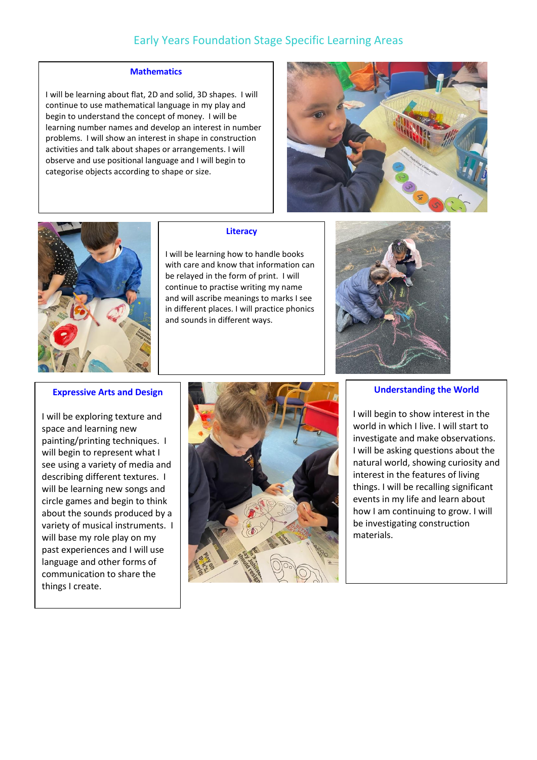# Early Years Foundation Stage Specific Learning Areas

#### **Mathematics**

I will be learning about flat, 2D and solid, 3D shapes. I will continue to use mathematical language in my play and begin to understand the concept of money. I will be learning number names and develop an interest in number problems. I will show an interest in shape in construction activities and talk about shapes or arrangements. I will observe and use positional language and I will begin to categorise objects according to shape or size.





#### **Literacy**

I will be learning how to handle books with care and know that information can be relayed in the form of print. I will continue to practise writing my name and will ascribe meanings to marks I see in different places. I will practice phonics and sounds in different ways.



#### **Expressive Arts and Design**

I will be exploring texture and space and learning new painting/printing techniques. I will begin to represent what I see using a variety of media and describing different textures. I will be learning new songs and circle games and begin to think about the sounds produced by a variety of musical instruments. I will base my role play on my past experiences and I will use language and other forms of communication to share the things I create.



#### **Understanding the World**

I will begin to show interest in the world in which I live. I will start to investigate and make observations. I will be asking questions about the natural world, showing curiosity and interest in the features of living things. I will be recalling significant events in my life and learn about how I am continuing to grow. I will be investigating construction materials.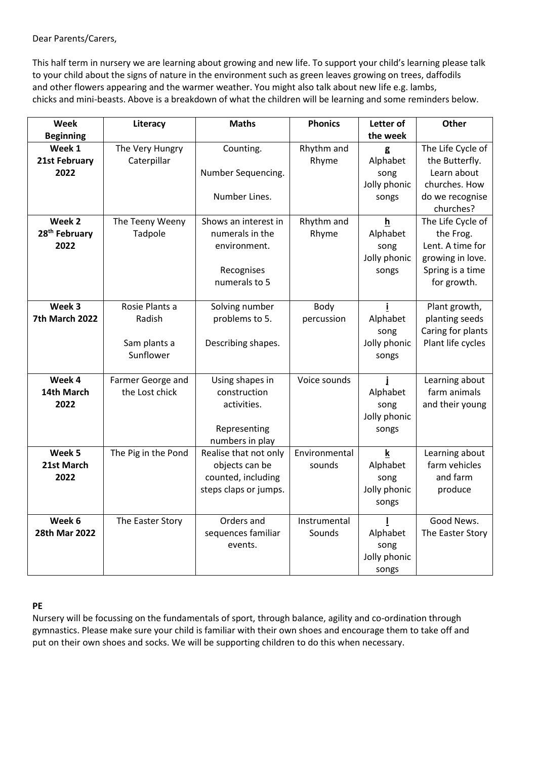Dear Parents/Carers,

This half term in nursery we are learning about growing and new life. To support your child's learning please talk to your child about the signs of nature in the environment such as green leaves growing on trees, daffodils and other flowers appearing and the warmer weather. You might also talk about new life e.g. lambs, chicks and mini-beasts. Above is a breakdown of what the children will be learning and some reminders below.

| Week                      | Literacy            | <b>Maths</b>          | <b>Phonics</b> | Letter of    | Other             |
|---------------------------|---------------------|-----------------------|----------------|--------------|-------------------|
| <b>Beginning</b>          |                     |                       |                | the week     |                   |
| Week 1                    | The Very Hungry     | Counting.             | Rhythm and     | g            | The Life Cycle of |
| 21st February             | Caterpillar         |                       | Rhyme          | Alphabet     | the Butterfly.    |
| 2022                      |                     | Number Sequencing.    |                | song         | Learn about       |
|                           |                     |                       |                | Jolly phonic | churches. How     |
|                           |                     | Number Lines.         |                | songs        | do we recognise   |
|                           |                     |                       |                |              | churches?         |
| Week 2                    | The Teeny Weeny     | Shows an interest in  | Rhythm and     | h            | The Life Cycle of |
| 28 <sup>th</sup> February | Tadpole             | numerals in the       | Rhyme          | Alphabet     | the Frog.         |
| 2022                      |                     | environment.          |                | song         | Lent. A time for  |
|                           |                     |                       |                | Jolly phonic | growing in love.  |
|                           |                     | Recognises            |                | songs        | Spring is a time  |
|                           |                     | numerals to 5         |                |              | for growth.       |
| Week 3                    | Rosie Plants a      | Solving number        | Body           |              | Plant growth,     |
| 7th March 2022            | Radish              | problems to 5.        | percussion     | Alphabet     | planting seeds    |
|                           |                     |                       |                | song         | Caring for plants |
|                           | Sam plants a        | Describing shapes.    |                | Jolly phonic | Plant life cycles |
|                           | Sunflower           |                       |                | songs        |                   |
|                           |                     |                       |                |              |                   |
| Week 4                    | Farmer George and   | Using shapes in       | Voice sounds   |              | Learning about    |
| 14th March                | the Lost chick      | construction          |                | Alphabet     | farm animals      |
| 2022                      |                     | activities.           |                | song         | and their young   |
|                           |                     |                       |                | Jolly phonic |                   |
|                           |                     | Representing          |                | songs        |                   |
|                           |                     | numbers in play       |                |              |                   |
| Week 5                    | The Pig in the Pond | Realise that not only | Environmental  | k            | Learning about    |
| 21st March                |                     | objects can be        | sounds         | Alphabet     | farm vehicles     |
| 2022                      |                     | counted, including    |                | song         | and farm          |
|                           |                     | steps claps or jumps. |                | Jolly phonic | produce           |
|                           |                     |                       |                | songs        |                   |
| Week 6                    | The Easter Story    | Orders and            | Instrumental   |              | Good News.        |
| 28th Mar 2022             |                     | sequences familiar    | Sounds         | Alphabet     | The Easter Story  |
|                           |                     | events.               |                | song         |                   |
|                           |                     |                       |                | Jolly phonic |                   |
|                           |                     |                       |                | songs        |                   |

# **PE**

Nursery will be focussing on the fundamentals of sport, through balance, agility and co-ordination through gymnastics. Please make sure your child is familiar with their own shoes and encourage them to take off and put on their own shoes and socks. We will be supporting children to do this when necessary.